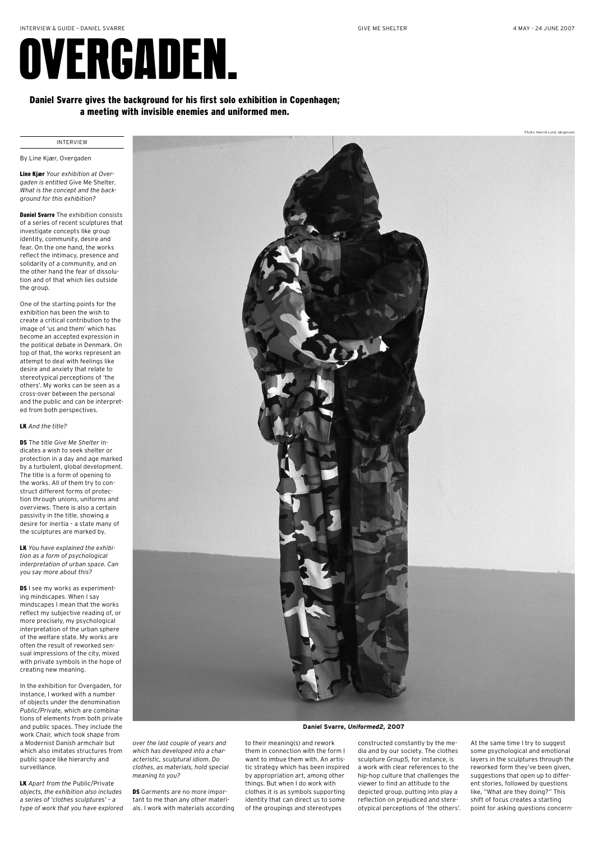# Daniel Svarre gives the background for his first solo exhibition in Copenhagen; a meeting with invisible enemies and uniformed men.

## By Line Kjær, Overgaden

Line Kjær *Your exhibition at Overgaden is entitled* Give Me Shelter. *What is the concept and the background for this exhibition?*

**Daniel Svarre** The exhibition consists of a series of recent sculptures that investigate concepts like group identity, community, desire and fear. On the one hand, the works reflect the intimacy, presence and solidarity of a community, and on the other hand the fear of dissolution and of that which lies outside the group.

One of the starting points for the exhibition has been the wish to create a critical contribution to the image of 'us and them' which has become an accepted expression in the political debate in Denmark. On top of that, the works represent an attempt to deal with feelings like desire and anxiety that relate to stereotypical perceptions of 'the others'. My works can be seen as a cross-over between the personal and the public and can be interpreted from both perspectives.

**DS** I see my works as experimenting mindscapes. When I say mindscapes I mean that the works reflect my subjective reading of, or more precisely, my psychological interpretation of the urban sphere



## LK *And the title?*

DS The title *Give Me Shelter* indicates a wish to seek shelter or protection in a day and age marked by a turbulent, global development. The title is a form of opening to the works. All of them try to construct different forms of protection through unions, uniforms and overviews. There is also a certain passivity in the title, showing a desire for inertia – a state many of the sculptures are marked by.

> DS Garments are no more important to me than any other materials. I work with materials according

LK *You have explained the exhibition as a form of psychological interpretation of urban space. Can you say more about this?*

of the welfare state. My works are often the result of reworked sensual impressions of the city, mixed with private symbols in the hope of creating new meaning.

In the exhibition for Overgaden, for instance, I worked with a number of objects under the denomination *Public/Private,* which are combinations of elements from both private and public spaces. They include the work *Chair,* which took shape from a Modernist Danish armchair but which also imitates structures from public space like hierarchy and surveillance.

LK *Apart from the* Public/Private *objects, the exhibition also includes a series of 'clothes sculptures' – a type of work that you have explored* 

#### INTERVIEW

# GIVE ME SHELTER 4 MAY - 24 JUNE 2007

Photo: Henrik Lund Jørgensen

# OVERGADEN.

### **Daniel Svarre,** *Uniformed2,* **2007**

*over the last couple of years and which has developed into a characteristic, sculptural idiom. Do clothes, as materials, hold special meaning to you?*



constructed constantly by the media and by our society. The clothes sculpture *Group5,* for instance, is a work with clear references to the hip-hop culture that challenges the viewer to find an attitude to the depicted group, putting into play a reflection on prejudiced and stereotypical perceptions of 'the others'. At the same time I try to suggest some psychological and emotional layers in the sculptures through the reworked form they've been given, suggestions that open up to different stories, followed by questions like, "What are they doing?" This shift of focus creates a starting point for asking questions concern-